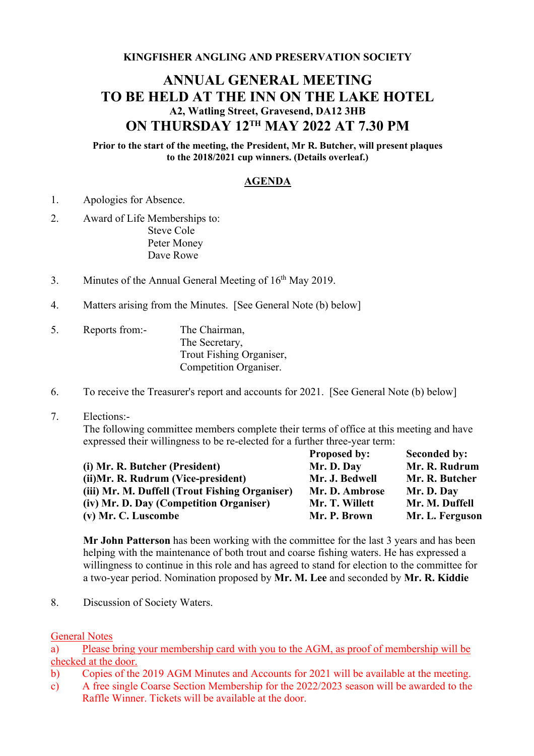**KINGFISHER ANGLING AND PRESERVATION SOCIETY**

## **ANNUAL GENERAL MEETING TO BE HELD AT THE INN ON THE LAKE HOTEL A2, Watling Street, Gravesend, DA12 3HB ON THURSDAY 12TH MAY 2022 AT 7.30 PM**

**Prior to the start of the meeting, the President, Mr R. Butcher, will present plaques to the 2018/2021 cup winners. (Details overleaf.)**

## **AGENDA**

- 1. Apologies for Absence.
- 2. Award of Life Memberships to: Steve Cole Peter Money Dave Rowe
- 3. Minutes of the Annual General Meeting of  $16<sup>th</sup>$  May 2019.
- 4. Matters arising from the Minutes. [See General Note (b) below]
- 5. Reports from:- The Chairman, The Secretary, Trout Fishing Organiser, Competition Organiser.
- 6. To receive the Treasurer's report and accounts for 2021. [See General Note (b) below]
- 7. Elections:-

The following committee members complete their terms of office at this meeting and have expressed their willingness to be re-elected for a further three-year term:

|                                                | <b>Proposed by:</b> | <b>Seconded by:</b> |
|------------------------------------------------|---------------------|---------------------|
| (i) Mr. R. Butcher (President)                 | Mr. D. Day          | Mr. R. Rudrum       |
| (ii) Mr. R. Rudrum (Vice-president)            | Mr. J. Bedwell      | Mr. R. Butcher      |
| (iii) Mr. M. Duffell (Trout Fishing Organiser) | Mr. D. Ambrose      | Mr. D. Day          |
| (iv) Mr. D. Day (Competition Organiser)        | Mr. T. Willett      | Mr. M. Duffell      |
| (v) Mr. C. Luscombe                            | Mr. P. Brown        | Mr. L. Ferguson     |

**Mr John Patterson** has been working with the committee for the last 3 years and has been helping with the maintenance of both trout and coarse fishing waters. He has expressed a willingness to continue in this role and has agreed to stand for election to the committee for a two-year period. Nomination proposed by **Mr. M. Lee** and seconded by **Mr. R. Kiddie**

8. Discussion of Society Waters.

General Notes

a) Please bring your membership card with you to the AGM, as proof of membership will be checked at the door.

- b) Copies of the 2019 AGM Minutes and Accounts for 2021 will be available at the meeting.
- c) A free single Coarse Section Membership for the 2022/2023 season will be awarded to the Raffle Winner. Tickets will be available at the door.